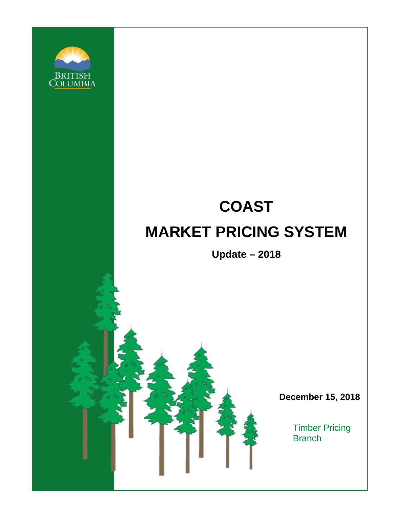

# **COAST MARKET PRICING SYSTEM**

**Update – 2018**

**December 15, 2018**

Timber Pricing **Branch**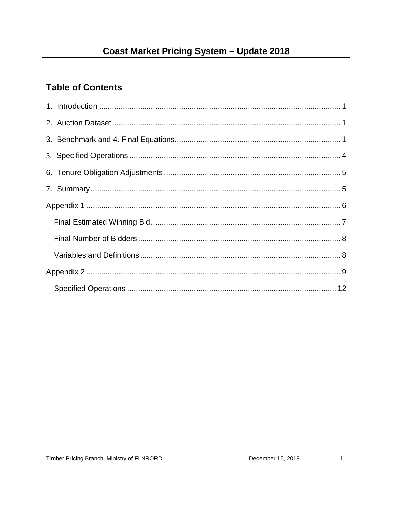# **Table of Contents**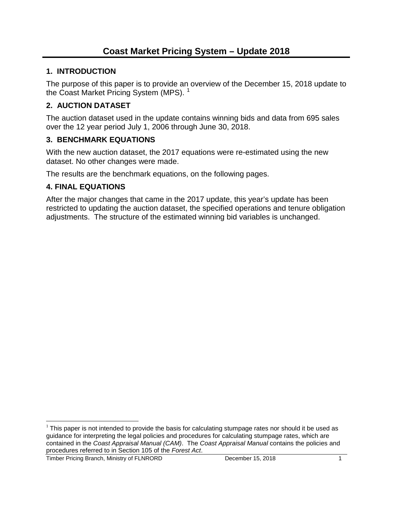# <span id="page-2-0"></span>**1. INTRODUCTION**

The purpose of this paper is to provide an overview of the December 15, 2018 update to the Coast Market Pricing System (MPS).<sup>[1](#page-2-3)</sup>

# <span id="page-2-1"></span>**2. AUCTION DATASET**

The auction dataset used in the update contains winning bids and data from 695 sales over the 12 year period July 1, 2006 through June 30, 2018.

# <span id="page-2-2"></span>**3. BENCHMARK EQUATIONS**

With the new auction dataset, the 2017 equations were re-estimated using the new dataset. No other changes were made.

The results are the benchmark equations, on the following pages.

# **4. FINAL EQUATIONS**

After the major changes that came in the 2017 update, this year's update has been restricted to updating the auction dataset, the specified operations and tenure obligation adjustments. The structure of the estimated winning bid variables is unchanged.

<span id="page-2-3"></span> $1$  This paper is not intended to provide the basis for calculating stumpage rates nor should it be used as guidance for interpreting the legal policies and procedures for calculating stumpage rates, which are contained in the *Coast Appraisal Manual (CAM)*. The *Coast Appraisal Manual* contains the policies and procedures referred to in Section 105 of the *Forest Act*.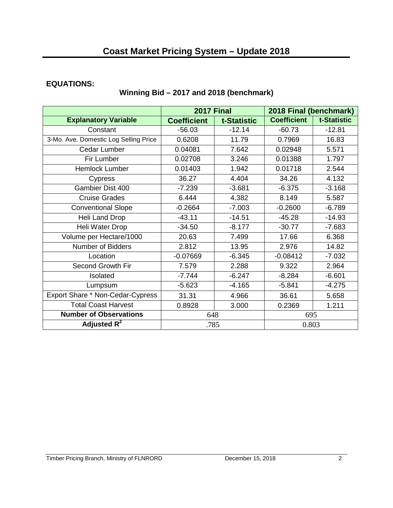#### **EQUATIONS:**

# **Winning Bid – 2017 and 2018 (benchmark)**

|                                       | <b>2017 Final</b>  |             | 2018 Final (benchmark) |             |
|---------------------------------------|--------------------|-------------|------------------------|-------------|
| <b>Explanatory Variable</b>           | <b>Coefficient</b> | t-Statistic | <b>Coefficient</b>     | t-Statistic |
| Constant                              | $-56.03$           | $-12.14$    | $-60.73$               | $-12.81$    |
| 3-Mo. Ave. Domestic Log Selling Price | 0.6208             | 11.79       | 0.7969                 | 16.83       |
| Cedar Lumber                          | 0.04081            | 7.642       | 0.02948                | 5.571       |
| Fir Lumber                            | 0.02708            | 3.246       | 0.01388                | 1.797       |
| Hemlock Lumber                        | 0.01403            | 1.942       | 0.01718                | 2.544       |
| Cypress                               | 36.27              | 4.404       | 34.26                  | 4.132       |
| Gambier Dist 400                      | $-7.239$           | $-3.681$    | $-6.375$               | $-3.168$    |
| <b>Cruise Grades</b>                  | 6.444              | 4.382       | 8.149                  | 5.587       |
| <b>Conventional Slope</b>             | $-0.2664$          | $-7.003$    | $-0.2600$              | $-6.789$    |
| Heli Land Drop                        | $-43.11$           | $-14.51$    | $-45.28$               | $-14.93$    |
| Heli Water Drop                       | $-34.50$           | $-8.177$    | $-30.77$               | $-7.683$    |
| Volume per Hectare/1000               | 20.63              | 7.499       | 17.66                  | 6.368       |
| Number of Bidders                     | 2.812              | 13.95       | 2.976                  | 14.82       |
| Location                              | $-0.07669$         | $-6.345$    | $-0.08412$             | $-7.032$    |
| Second Growth Fir                     | 7.579              | 2.288       | 9.322                  | 2.964       |
| Isolated                              | $-7.744$           | $-6.247$    | $-8.284$               | $-6.601$    |
| Lumpsum                               | $-5.623$           | $-4.165$    | $-5.841$               | $-4.275$    |
| Export Share * Non-Cedar-Cypress      | 31.31              | 4.966       | 36.61                  | 5.658       |
| <b>Total Coast Harvest</b>            | 0.8928             | 3.000       | 0.2369                 | 1.211       |
| <b>Number of Observations</b>         | 648                |             | 695                    |             |
| Adjusted $R^2$                        | .785               |             | 0.803                  |             |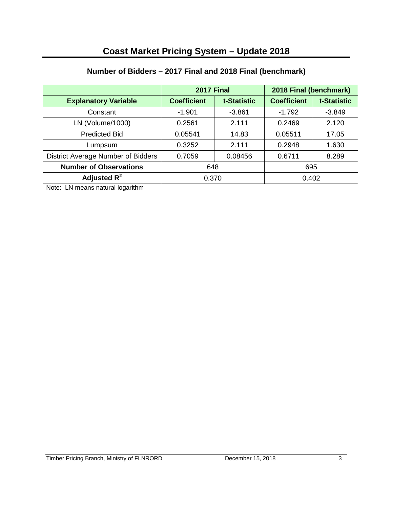# **Number of Bidders – 2017 Final and 2018 Final (benchmark)**

|                                    | <b>2017 Final</b>  |             | 2018 Final (benchmark) |             |
|------------------------------------|--------------------|-------------|------------------------|-------------|
| <b>Explanatory Variable</b>        | <b>Coefficient</b> | t-Statistic | <b>Coefficient</b>     | t-Statistic |
| Constant                           | $-1.901$           | $-3.861$    | $-1.792$               | $-3.849$    |
| LN (Volume/1000)                   | 0.2561             | 2.111       | 0.2469                 | 2.120       |
| <b>Predicted Bid</b>               | 0.05541            | 14.83       | 0.05511                | 17.05       |
| Lumpsum                            | 0.3252             | 2.111       | 0.2948                 | 1.630       |
| District Average Number of Bidders | 0.7059             | 0.08456     | 0.6711                 | 8.289       |
| <b>Number of Observations</b>      | 648                |             | 695                    |             |
| Adjusted $R^2$                     | 0.370              |             | 0.402                  |             |

<span id="page-4-0"></span>Note: LN means natural logarithm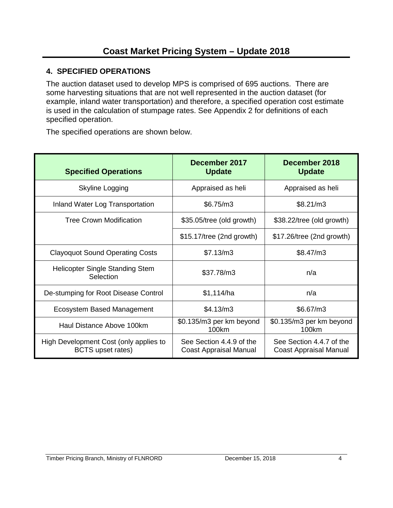# **4. SPECIFIED OPERATIONS**

The auction dataset used to develop MPS is comprised of 695 auctions. There are some harvesting situations that are not well represented in the auction dataset (for example, inland water transportation) and therefore, a specified operation cost estimate is used in the calculation of stumpage rates. See Appendix 2 for definitions of each specified operation.

The specified operations are shown below.

| <b>Specified Operations</b>                                 | December 2017<br><b>Update</b>                     | December 2018<br><b>Update</b>                            |
|-------------------------------------------------------------|----------------------------------------------------|-----------------------------------------------------------|
| Skyline Logging                                             | Appraised as heli                                  | Appraised as heli                                         |
| Inland Water Log Transportation                             | \$6.75/m3                                          | \$8.21/m3                                                 |
| <b>Tree Crown Modification</b>                              | \$35.05/tree (old growth)                          | \$38.22/tree (old growth)                                 |
|                                                             | \$15.17/tree (2nd growth)                          | \$17.26/tree (2nd growth)                                 |
| <b>Clayoquot Sound Operating Costs</b>                      | \$7.13/m3                                          | \$8.47/m3                                                 |
| <b>Helicopter Single Standing Stem</b><br>Selection         | \$37.78/m3                                         | n/a                                                       |
| De-stumping for Root Disease Control                        | \$1,114/ha                                         | n/a                                                       |
| Ecosystem Based Management                                  | \$4.13/m3                                          | \$6.67/m3                                                 |
| Haul Distance Above 100km                                   | \$0.135/m3 per km beyond<br>100km                  | \$0.135/m3 per km beyond<br>100km                         |
| High Development Cost (only applies to<br>BCTS upset rates) | See Section 4.4.9 of the<br>Coast Appraisal Manual | See Section 4.4.7 of the<br><b>Coast Appraisal Manual</b> |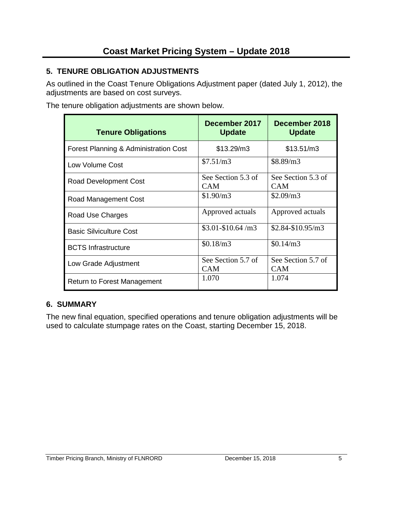# <span id="page-6-0"></span>**5. TENURE OBLIGATION ADJUSTMENTS**

As outlined in the Coast Tenure Obligations Adjustment paper (dated July 1, 2012), the adjustments are based on cost surveys.

The tenure obligation adjustments are shown below.

| <b>Tenure Obligations</b>             | December 2017<br><b>Update</b>   | December 2018<br><b>Update</b>   |
|---------------------------------------|----------------------------------|----------------------------------|
| Forest Planning & Administration Cost | \$13.29/m3                       | \$13.51/m3                       |
| Low Volume Cost                       | \$7.51/m3                        | \$8.89/m3                        |
| Road Development Cost                 | See Section 5.3 of<br><b>CAM</b> | See Section 5.3 of<br><b>CAM</b> |
| Road Management Cost                  | \$1.90/m3                        | \$2.09/m3                        |
| Road Use Charges                      | Approved actuals                 | Approved actuals                 |
| <b>Basic Silviculture Cost</b>        | $$3.01 - $10.64/m3$              | $$2.84-S10.95/m3$                |
| <b>BCTS</b> Infrastructure            | \$0.18/m3                        | \$0.14/m3                        |
| Low Grade Adjustment                  | See Section 5.7 of<br><b>CAM</b> | See Section 5.7 of<br><b>CAM</b> |
| Return to Forest Management           | 1.070                            | 1.074                            |

# <span id="page-6-1"></span>**6. SUMMARY**

The new final equation, specified operations and tenure obligation adjustments will be used to calculate stumpage rates on the Coast, starting December 15, 2018.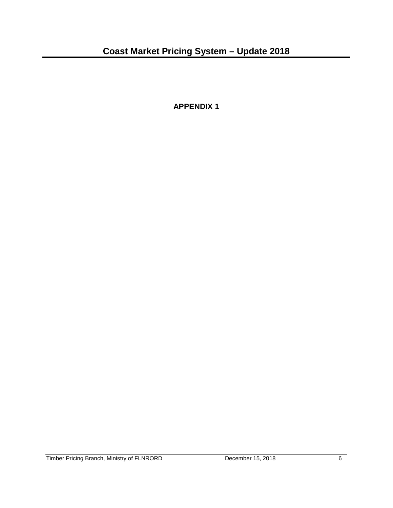<span id="page-7-0"></span>**APPENDIX 1**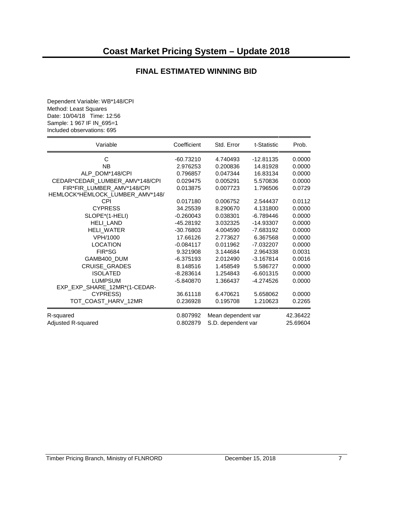#### **FINAL ESTIMATED WINNING BID**

<span id="page-8-0"></span>Dependent Variable: WB\*148/CPI Method: Least Squares Date: 10/04/18 Time: 12:56 Sample: 1 967 IF IN\_695=1 Included observations: 695

| Variable                        | Coefficient | Std. Error         | t-Statistic | Prob.    |
|---------------------------------|-------------|--------------------|-------------|----------|
| C                               | $-60.73210$ | 4.740493           | $-12.81135$ | 0.0000   |
| NΒ                              | 2.976253    | 0.200836           | 14.81928    | 0.0000   |
| ALP_DOM*148/CPI                 | 0.796857    | 0.047344           | 16.83134    | 0.0000   |
| CEDAR*CEDAR_LUMBER_AMV*148/CPI  | 0.029475    | 0.005291           | 5.570836    | 0.0000   |
| FIR*FIR_LUMBER_AMV*148/CPI      | 0.013875    | 0.007723           | 1.796506    | 0.0729   |
| HEMLOCK*HEMLOCK_LUMBER_AMV*148/ |             |                    |             |          |
| CPI                             | 0.017180    | 0.006752           | 2.544437    | 0.0112   |
| <b>CYPRESS</b>                  | 34.25539    | 8.290670           | 4.131800    | 0.0000   |
| SLOPE*(1-HELI)                  | $-0.260043$ | 0.038301           | $-6.789446$ | 0.0000   |
| <b>HELI LAND</b>                | -45.28192   | 3.032325           | -14.93307   | 0.0000   |
| HELI_WATER                      | -30.76803   | 4.004590           | -7.683192   | 0.0000   |
| VPH/1000                        | 17.66126    | 2.773627           | 6.367568    | 0.0000   |
| <b>LOCATION</b>                 | $-0.084117$ | 0.011962           | -7.032207   | 0.0000   |
| FIR*SG                          | 9.321908    | 3.144684           | 2.964338    | 0.0031   |
| GAMB400_DUM                     | -6.375193   | 2.012490           | $-3.167814$ | 0.0016   |
| <b>CRUISE_GRADES</b>            | 8.148516    | 1.458549           | 5.586727    | 0.0000   |
| <b>ISOLATED</b>                 | $-8.283614$ | 1.254843           | $-6.601315$ | 0.0000   |
| <b>LUMPSUM</b>                  | -5.840870   | 1.366437           | -4.274526   | 0.0000   |
| EXP_EXP_SHARE_12MR*(1-CEDAR-    |             |                    |             |          |
| CYPRESS)                        | 36.61118    | 6.470621           | 5.658062    | 0.0000   |
| TOT_COAST_HARV_12MR             | 0.236928    | 0.195708           | 1.210623    | 0.2265   |
| R-squared                       | 0.807992    | Mean dependent var |             | 42.36422 |
| Adjusted R-squared              | 0.802879    | S.D. dependent var |             | 25.69604 |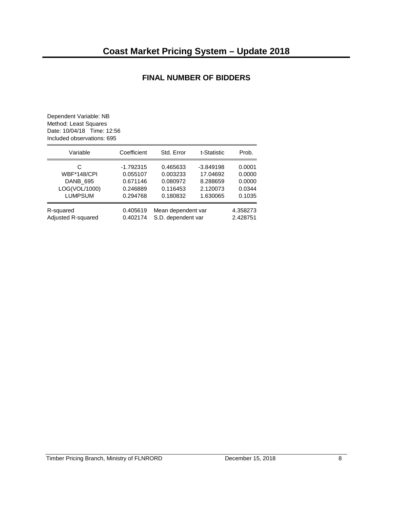#### **FINAL NUMBER OF BIDDERS**

<span id="page-9-1"></span><span id="page-9-0"></span>Dependent Variable: NB Method: Least Squares Date: 10/04/18 Time: 12:56 Included observations: 695

| Variable           | Coefficient | Std. Error         | t-Statistic | Prob.    |
|--------------------|-------------|--------------------|-------------|----------|
| C                  | $-1.792315$ | 0.465633           | $-3.849198$ | 0.0001   |
| <b>WBF*148/CPI</b> | 0.055107    | 0.003233           | 17.04692    | 0.0000   |
| DANB_695           | 0.671146    | 0.080972           | 8.288659    | 0.0000   |
| LOG(VOL/1000)      | 0.246889    | 0.116453           | 2.120073    | 0.0344   |
| <b>LUMPSUM</b>     | 0.294768    | 0.180832           | 1.630065    | 0.1035   |
| R-squared          | 0.405619    | Mean dependent var |             | 4.358273 |
| Adjusted R-squared | 0.402174    | S.D. dependent var |             | 2.428751 |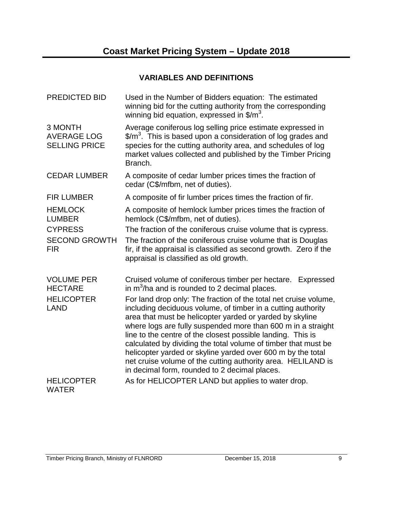# **VARIABLES AND DEFINITIONS**

| <b>PREDICTED BID</b>                                  | Used in the Number of Bidders equation: The estimated<br>winning bid for the cutting authority from the corresponding<br>winning bid equation, expressed in $\frac{m^3}{2}$ .                                                                                                                                                                                                                                                                                                                                                                                                 |  |
|-------------------------------------------------------|-------------------------------------------------------------------------------------------------------------------------------------------------------------------------------------------------------------------------------------------------------------------------------------------------------------------------------------------------------------------------------------------------------------------------------------------------------------------------------------------------------------------------------------------------------------------------------|--|
| 3 MONTH<br><b>AVERAGE LOG</b><br><b>SELLING PRICE</b> | Average coniferous log selling price estimate expressed in<br>$\frac{2}{3}$ This is based upon a consideration of log grades and<br>species for the cutting authority area, and schedules of log<br>market values collected and published by the Timber Pricing<br>Branch.                                                                                                                                                                                                                                                                                                    |  |
| <b>CEDAR LUMBER</b>                                   | A composite of cedar lumber prices times the fraction of<br>cedar (C\$/mfbm, net of duties).                                                                                                                                                                                                                                                                                                                                                                                                                                                                                  |  |
| <b>FIR LUMBER</b>                                     | A composite of fir lumber prices times the fraction of fir.                                                                                                                                                                                                                                                                                                                                                                                                                                                                                                                   |  |
| <b>HEMLOCK</b><br><b>LUMBER</b>                       | A composite of hemlock lumber prices times the fraction of<br>hemlock (C\$/mfbm, net of duties).                                                                                                                                                                                                                                                                                                                                                                                                                                                                              |  |
| <b>CYPRESS</b>                                        | The fraction of the coniferous cruise volume that is cypress.                                                                                                                                                                                                                                                                                                                                                                                                                                                                                                                 |  |
| <b>SECOND GROWTH</b><br><b>FIR</b>                    | The fraction of the coniferous cruise volume that is Douglas<br>fir, if the appraisal is classified as second growth. Zero if the<br>appraisal is classified as old growth.                                                                                                                                                                                                                                                                                                                                                                                                   |  |
| <b>VOLUME PER</b><br><b>HECTARE</b>                   | Cruised volume of coniferous timber per hectare. Expressed<br>in $m^3/ha$ and is rounded to 2 decimal places.                                                                                                                                                                                                                                                                                                                                                                                                                                                                 |  |
| <b>HELICOPTER</b><br><b>LAND</b>                      | For land drop only: The fraction of the total net cruise volume,<br>including deciduous volume, of timber in a cutting authority<br>area that must be helicopter yarded or yarded by skyline<br>where logs are fully suspended more than 600 m in a straight<br>line to the centre of the closest possible landing. This is<br>calculated by dividing the total volume of timber that must be<br>helicopter yarded or skyline yarded over 600 m by the total<br>net cruise volume of the cutting authority area. HELILAND is<br>in decimal form, rounded to 2 decimal places. |  |
| <b>HELICOPTER</b><br><b>WATER</b>                     | As for HELICOPTER LAND but applies to water drop.                                                                                                                                                                                                                                                                                                                                                                                                                                                                                                                             |  |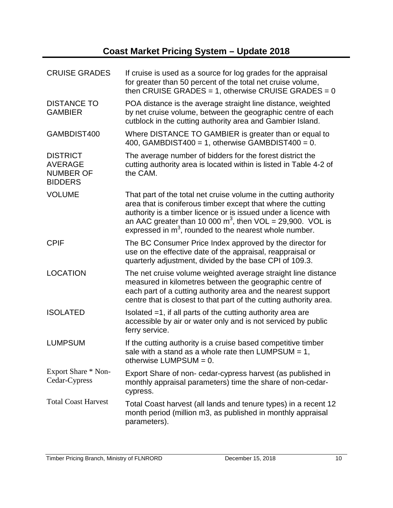# **Coast Market Pricing System – Update 2018**

| <b>CRUISE GRADES</b>                                                    | If cruise is used as a source for log grades for the appraisal<br>for greater than 50 percent of the total net cruise volume,<br>then CRUISE GRADES = 1, otherwise CRUISE GRADES = $0$                                                                                                                                           |
|-------------------------------------------------------------------------|----------------------------------------------------------------------------------------------------------------------------------------------------------------------------------------------------------------------------------------------------------------------------------------------------------------------------------|
| <b>DISTANCE TO</b><br><b>GAMBIER</b>                                    | POA distance is the average straight line distance, weighted<br>by net cruise volume, between the geographic centre of each<br>cutblock in the cutting authority area and Gambier Island.                                                                                                                                        |
| GAMBDIST400                                                             | Where DISTANCE TO GAMBIER is greater than or equal to<br>400, GAMBDIST400 = 1, otherwise GAMBDIST400 = 0.                                                                                                                                                                                                                        |
| <b>DISTRICT</b><br><b>AVERAGE</b><br><b>NUMBER OF</b><br><b>BIDDERS</b> | The average number of bidders for the forest district the<br>cutting authority area is located within is listed in Table 4-2 of<br>the CAM.                                                                                                                                                                                      |
| <b>VOLUME</b>                                                           | That part of the total net cruise volume in the cutting authority<br>area that is coniferous timber except that where the cutting<br>authority is a timber licence or is issued under a licence with<br>an AAC greater than 10 000 $m^3$ , then VOL = 29,900. VOL is<br>expressed in $m3$ , rounded to the nearest whole number. |
| <b>CPIF</b>                                                             | The BC Consumer Price Index approved by the director for<br>use on the effective date of the appraisal, reappraisal or<br>quarterly adjustment, divided by the base CPI of 109.3.                                                                                                                                                |
| <b>LOCATION</b>                                                         | The net cruise volume weighted average straight line distance<br>measured in kilometres between the geographic centre of<br>each part of a cutting authority area and the nearest support<br>centre that is closest to that part of the cutting authority area.                                                                  |
| <b>ISOLATED</b>                                                         | Isolated $=1$ , if all parts of the cutting authority area are<br>accessible by air or water only and is not serviced by public<br>ferry service.                                                                                                                                                                                |
| <b>LUMPSUM</b>                                                          | If the cutting authority is a cruise based competitive timber<br>sale with a stand as a whole rate then LUMPSUM $= 1$ ,<br>otherwise LUMPSUM = $0$ .                                                                                                                                                                             |
| Export Share * Non-<br>Cedar-Cypress                                    | Export Share of non- cedar-cypress harvest (as published in<br>monthly appraisal parameters) time the share of non-cedar-<br>cypress.                                                                                                                                                                                            |
| <b>Total Coast Harvest</b>                                              | Total Coast harvest (all lands and tenure types) in a recent 12<br>month period (million m3, as published in monthly appraisal<br>parameters).                                                                                                                                                                                   |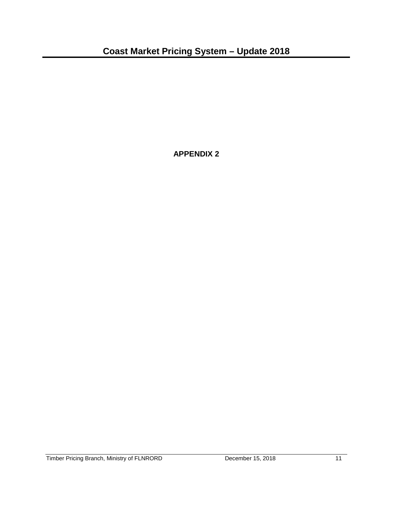<span id="page-12-0"></span>**APPENDIX 2**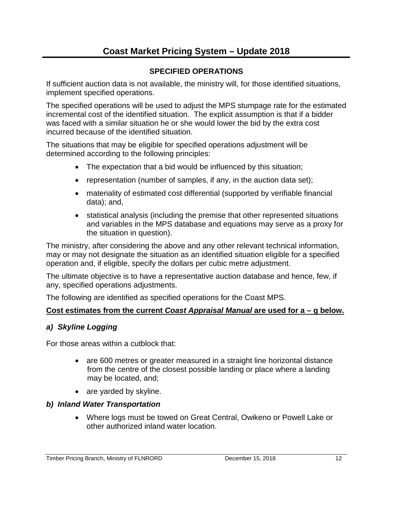# **Coast Market Pricing System – Update 2018**

# **SPECIFIED OPERATIONS**

<span id="page-13-0"></span>If sufficient auction data is not available, the ministry will, for those identified situations, implement specified operations.

The specified operations will be used to adjust the MPS stumpage rate for the estimated incremental cost of the identified situation. The explicit assumption is that if a bidder was faced with a similar situation he or she would lower the bid by the extra cost incurred because of the identified situation.

The situations that may be eligible for specified operations adjustment will be determined according to the following principles:

- The expectation that a bid would be influenced by this situation;
- representation (number of samples, if any, in the auction data set);
- materiality of estimated cost differential (supported by verifiable financial data); and,
- statistical analysis (including the premise that other represented situations and variables in the MPS database and equations may serve as a proxy for the situation in question).

The ministry, after considering the above and any other relevant technical information, may or may not designate the situation as an identified situation eligible for a specified operation and, if eligible, specify the dollars per cubic metre adjustment.

The ultimate objective is to have a representative auction database and hence, few, if any, specified operations adjustments.

The following are identified as specified operations for the Coast MPS.

#### **Cost estimates from the current** *Coast Appraisal Manual* **are used for a – g below.**

#### *a) Skyline Logging*

For those areas within a cutblock that:

- are 600 metres or greater measured in a straight line horizontal distance from the centre of the closest possible landing or place where a landing may be located, and;
- are yarded by skyline.

#### *b) Inland Water Transportation*

• Where logs must be towed on Great Central, Owikeno or Powell Lake or other authorized inland water location.